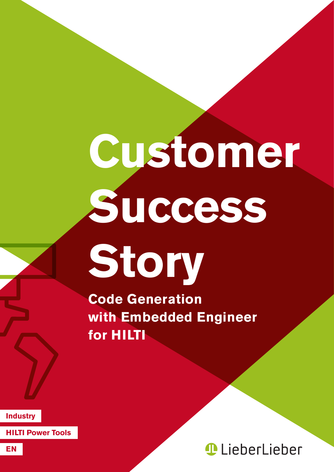## **Customer Success Story**

**Code Generation with Embedded Engineer for HILTI**

**Industry**

**HILTI Power Tools**

*<u>ALieberLieber</u>*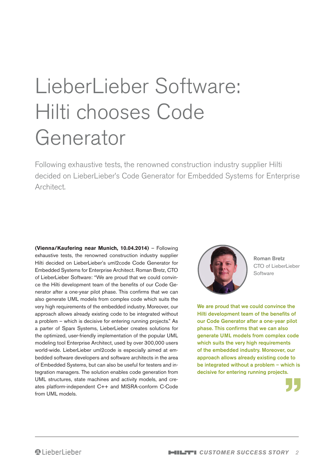## LieberLieber Software: Hilti chooses Code Generator

Following exhaustive tests, the renowned construction industry supplier Hilti decided on LieberLieber's Code Generator for Embedded Systems for Enterprise Architect.

**(Vienna/Kaufering near Munich, 10.04.2014)** – Following exhaustive tests, the renowned construction industry supplier Hilti decided on LieberLieber's uml2code Code Generator for Embedded Systems for Enterprise Architect. Roman Bretz, CTO of LieberLieber Software: "We are proud that we could convince the Hilti development team of the benefits of our Code Generator after a one-year pilot phase. This confirms that we can also generate UML models from complex code which suits the very high requirements of the embedded industry. Moreover, our approach allows already existing code to be integrated without a problem – which is decisive for entering running projects." As a parter of Sparx Systems, LieberLieber creates solutions for the optimized, user-friendly implementation of the popular UML modeling tool Enterprise Architect, used by over 300,000 users world-wide. LieberLieber uml2code is especially aimed at embedded software developers and software architects in the area of Embedded Systems, but can also be useful for testers and integration managers. The solution enables code generation from UML structures, state machines and activity models, and creates platform-independent C++ and MISRA-conform C-Code from UML models.



Roman Bretz CTO of LieberLieber **Software** 

We are proud that we could convince the Hilti development team of the benefits of our Code Generator after a one-year pilot phase. This confirms that we can also generate UML models from complex code which suits the very high requirements of the embedded industry. Moreover, our approach allows already existing code to be integrated without a problem – which is decisive for entering running projects.

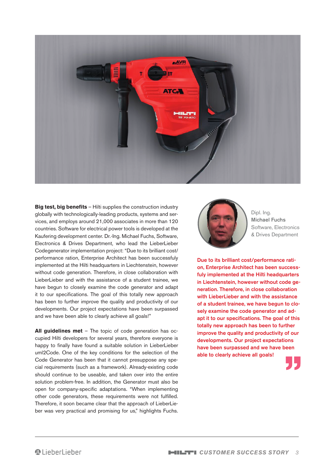

**Big test, big benefits** – Hilti supplies the construction industry globally with technologically-leading products, systems and services, and employs around 21,000 associates in more than 120 countries. Software for electrical power tools is developed at the Kaufering development center. Dr.-Ing. Michael Fuchs, Software, Electronics & Drives Department, who lead the LieberLieber Codegenerator implementation project: "Due to its brilliant cost/ performance ration, Enterprise Architect has been successfuly implemented at the Hilti headquarters in Liechtenstein, however without code generation. Therefore, in close collaboration with LieberLieber and with the assistance of a student trainee, we have begun to closely examine the code generator and adapt it to our specifications. The goal of this totally new approach has been to further improve the quality and productivity of our developments. Our project expectations have been surpassed and we have been able to clearly achieve all goals!"

**All guidelines met** – The topic of code generation has occupied Hilti developers for several years, therefore everyone is happy to finally have found a suitable solution in LieberLieber uml2Code. One of the key conditions for the selection of the Code Generator has been that it cannot presuppose any special requirements (such as a framework). Already-existing code should continue to be useable, and taken over into the entire solution problem-free. In addition, the Generator must also be open for company-specific adaptations. "When implementing other code generators, these requirements were not fulfilled. Therefore, it soon became clear that the approach of LieberLieber was very practical and promising for us," highlights Fuchs.



Dipl. Ing. Michael Fuchs Software, Electronics & Drives Department

Due to its brilliant cost/performance ration, Enterprise Architect has been successfuly implemented at the Hilti headquarters in Liechtenstein, however without code generation. Therefore, in close collaboration with LieberLieber and with the assistance of a student trainee, we have begun to closely examine the code generator and adapt it to our specifications. The goal of this totally new approach has been to further improve the quality and productivity of our developments. Our project expectations have been surpassed and we have been able to clearly achieve all goals!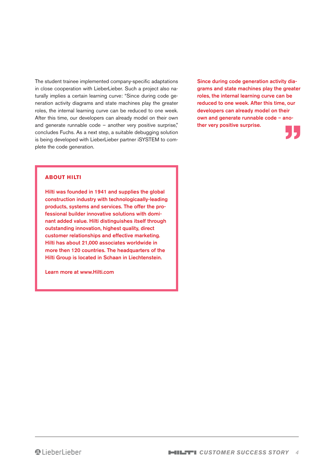The student trainee implemented company-specific adaptations in close cooperation with LieberLieber. Such a project also naturally implies a certain learning curve: "Since during code generation activity diagrams and state machines play the greater roles, the internal learning curve can be reduced to one week. After this time, our developers can already model on their own and generate runnable code – another very positive surprise," concludes Fuchs. As a next step, a suitable debugging solution is being developed with LieberLieber partner iSYSTEM to complete the code generation.

Since during code generation activity diagrams and state machines play the greater roles, the internal learning curve can be reduced to one week. After this time, our developers can already model on their own and generate runnable code – another very positive surprise.



## **About Hilti**

Hilti was founded in 1941 and supplies the global construction industry with technologicaally-leading products, systems and services. The offer the professional builder innovative solutions with dominant added value. Hilti distinguishes itself through outstanding innovation, highest quality, direct customer relationships and effective marketing. Hilti has about 21,000 associates worldwide in more then 120 countries. The headquarters of the Hilti Group is located in Schaan in Liechtenstein.

Learn more at www.Hilti.com